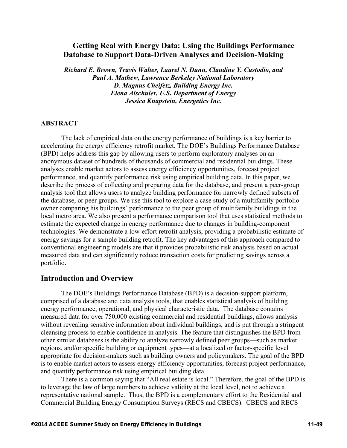# **Getting Real with Energy Data: Using the Buildings Performance Database to Support Data-Driven Analyses and Decision-Making**

*Richard E. Brown, Travis Walter, Laurel N. Dunn, Claudine Y. Custodio, and Paul A. Mathew, Lawrence Berkeley National Laboratory D. Magnus Cheifetz, Building Energy Inc. Elena Alschuler, U.S. Department of Energy Jessica Knapstein, Energetics Inc.* 

#### **ABSTRACT**

The lack of empirical data on the energy performance of buildings is a key barrier to accelerating the energy efficiency retrofit market. The DOE's Buildings Performance Database (BPD) helps address this gap by allowing users to perform exploratory analyses on an anonymous dataset of hundreds of thousands of commercial and residential buildings. These analyses enable market actors to assess energy efficiency opportunities, forecast project performance, and quantify performance risk using empirical building data. In this paper, we describe the process of collecting and preparing data for the database, and present a peer-group analysis tool that allows users to analyze building performance for narrowly defined subsets of the database, or peer groups. We use this tool to explore a case study of a multifamily portfolio owner comparing his buildings' performance to the peer group of multifamily buildings in the local metro area. We also present a performance comparison tool that uses statistical methods to estimate the expected change in energy performance due to changes in building-component technologies. We demonstrate a low-effort retrofit analysis, providing a probabilistic estimate of energy savings for a sample building retrofit. The key advantages of this approach compared to conventional engineering models are that it provides probabilistic risk analysis based on actual measured data and can significantly reduce transaction costs for predicting savings across a portfolio.

## **Introduction and Overview**

The DOE's Buildings Performance Database (BPD) is a decision-support platform, comprised of a database and data analysis tools, that enables statistical analysis of building energy performance, operational, and physical characteristic data. The database contains measured data for over 750,000 existing commercial and residential buildings, allows analysis without revealing sensitive information about individual buildings, and is put through a stringent cleansing process to enable confidence in analysis. The feature that distinguishes the BPD from other similar databases is the ability to analyze narrowly defined peer groups—such as market regions, and/or specific building or equipment types—at a localized or factor-specific level appropriate for decision-makers such as building owners and policymakers. The goal of the BPD is to enable market actors to assess energy efficiency opportunities, forecast project performance, and quantify performance risk using empirical building data.

There is a common saying that "All real estate is local." Therefore, the goal of the BPD is to leverage the law of large numbers to achieve validity at the local level, not to achieve a representative national sample. Thus, the BPD is a complementary effort to the Residential and Commercial Building Energy Consumption Surveys (RECS and CBECS). CBECS and RECS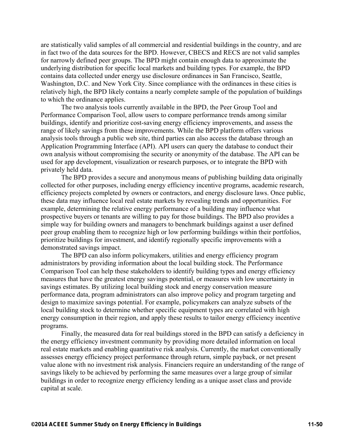are statistically valid samples of all commercial and residential buildings in the country, and are in fact two of the data sources for the BPD. However, CBECS and RECS are not valid samples for narrowly defined peer groups. The BPD might contain enough data to approximate the underlying distribution for specific local markets and building types. For example, the BPD contains data collected under energy use disclosure ordinances in San Francisco, Seattle, Washington, D.C. and New York City. Since compliance with the ordinances in these cities is relatively high, the BPD likely contains a nearly complete sample of the population of buildings to which the ordinance applies.

The two analysis tools currently available in the BPD, the Peer Group Tool and Performance Comparison Tool, allow users to compare performance trends among similar buildings, identify and prioritize cost-saving energy efficiency improvements, and assess the range of likely savings from these improvements. While the BPD platform offers various analysis tools through a public web site, third parties can also access the database through an Application Programming Interface (API). API users can query the database to conduct their own analysis without compromising the security or anonymity of the database. The API can be used for app development, visualization or research purposes, or to integrate the BPD with privately held data.

The BPD provides a secure and anonymous means of publishing building data originally collected for other purposes, including energy efficiency incentive programs, academic research, efficiency projects completed by owners or contractors, and energy disclosure laws. Once public, these data may influence local real estate markets by revealing trends and opportunities. For example, determining the relative energy performance of a building may influence what prospective buyers or tenants are willing to pay for those buildings. The BPD also provides a simple way for building owners and managers to benchmark buildings against a user defined peer group enabling them to recognize high or low performing buildings within their portfolios, prioritize buildings for investment, and identify regionally specific improvements with a demonstrated savings impact.

The BPD can also inform policymakers, utilities and energy efficiency program administrators by providing information about the local building stock. The Performance Comparison Tool can help these stakeholders to identify building types and energy efficiency measures that have the greatest energy savings potential, or measures with low uncertainty in savings estimates. By utilizing local building stock and energy conservation measure performance data, program administrators can also improve policy and program targeting and design to maximize savings potential. For example, policymakers can analyze subsets of the local building stock to determine whether specific equipment types are correlated with high energy consumption in their region, and apply these results to tailor energy efficiency incentive programs.

Finally, the measured data for real buildings stored in the BPD can satisfy a deficiency in the energy efficiency investment community by providing more detailed information on local real estate markets and enabling quantitative risk analysis. Currently, the market conventionally assesses energy efficiency project performance through return, simple payback, or net present value alone with no investment risk analysis. Financiers require an understanding of the range of savings likely to be achieved by performing the same measures over a large group of similar buildings in order to recognize energy efficiency lending as a unique asset class and provide capital at scale.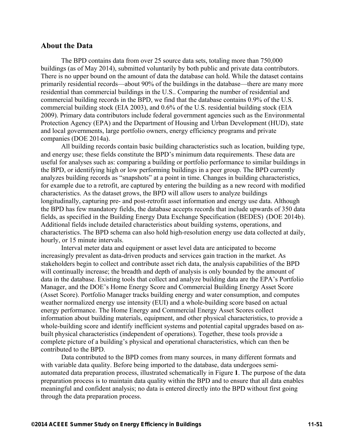#### **About the Data**

The BPD contains data from over 25 source data sets, totaling more than 750,000 buildings (as of May 2014), submitted voluntarily by both public and private data contributors. There is no upper bound on the amount of data the database can hold. While the dataset contains primarily residential records—about 90% of the buildings in the database—there are many more residential than commercial buildings in the U.S.. Comparing the number of residential and commercial building records in the BPD, we find that the database contains 0.9% of the U.S. commercial building stock (EIA 2003), and 0.6% of the U.S. residential building stock (EIA 2009). Primary data contributors include federal government agencies such as the Environmental Protection Agency (EPA) and the Department of Housing and Urban Development (HUD), state and local governments, large portfolio owners, energy efficiency programs and private companies (DOE 2014a).

All building records contain basic building characteristics such as location, building type, and energy use; these fields constitute the BPD's minimum data requirements. These data are useful for analyses such as: comparing a building or portfolio performance to similar buildings in the BPD, or identifying high or low performing buildings in a peer group. The BPD currently analyzes building records as "snapshots" at a point in time. Changes in building characteristics, for example due to a retrofit, are captured by entering the building as a new record with modified characteristics. As the dataset grows, the BPD will allow users to analyze buildings longitudinally, capturing pre- and post-retrofit asset information and energy use data. Although the BPD has few mandatory fields, the database accepts records that include upwards of 350 data fields, as specified in the Building Energy Data Exchange Specification (BEDES) (DOE 2014b). Additional fields include detailed characteristics about building systems, operations, and characteristics. The BPD schema can also hold high-resolution energy use data collected at daily, hourly, or 15 minute intervals.

Interval meter data and equipment or asset level data are anticipated to become increasingly prevalent as data-driven products and services gain traction in the market. As stakeholders begin to collect and contribute asset rich data, the analysis capabilities of the BPD will continually increase; the breadth and depth of analysis is only bounded by the amount of data in the database. Existing tools that collect and analyze building data are the EPA's Portfolio Manager, and the DOE's Home Energy Score and Commercial Building Energy Asset Score (Asset Score). Portfolio Manager tracks building energy and water consumption, and computes weather normalized energy use intensity (EUI) and a whole-building score based on actual energy performance. The Home Energy and Commercial Energy Asset Scores collect information about building materials, equipment, and other physical characteristics, to provide a whole-building score and identify inefficient systems and potential capital upgrades based on asbuilt physical characteristics (independent of operations). Together, these tools provide a complete picture of a building's physical and operational characteristics, which can then be contributed to the BPD.

Data contributed to the BPD comes from many sources, in many different formats and with variable data quality. Before being imported to the database, data undergoes semiautomated data preparation process, illustrated schematically in Figure **1**. The purpose of the data preparation process is to maintain data quality within the BPD and to ensure that all data enables meaningful and confident analysis; no data is entered directly into the BPD without first going through the data preparation process.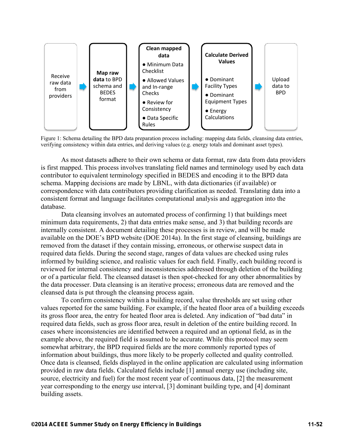

Figure 1: Schema detailing the BPD data preparation process including: mapping data fields, cleansing data entries, verifying consistency within data entries, and deriving values (e.g. energy totals and dominant asset types).

As most datasets adhere to their own schema or data format, raw data from data providers is first mapped. This process involves translating field names and terminology used by each data contributor to equivalent terminology specified in BEDES and encoding it to the BPD data schema. Mapping decisions are made by LBNL, with data dictionaries (if available) or correspondence with data contributors providing clarification as needed. Translating data into a consistent format and language facilitates computational analysis and aggregation into the database.

Data cleansing involves an automated process of confirming 1) that buildings meet minimum data requirements, 2) that data entries make sense, and 3) that building records are internally consistent. A document detailing these processes is in review, and will be made available on the DOE's BPD website (DOE 2014a). In the first stage of cleansing, buildings are removed from the dataset if they contain missing, erroneous, or otherwise suspect data in required data fields. During the second stage, ranges of data values are checked using rules informed by building science, and realistic values for each field. Finally, each building record is reviewed for internal consistency and inconsistencies addressed through deletion of the building or of a particular field. The cleansed dataset is then spot-checked for any other abnormalities by the data processer. Data cleansing is an iterative process; erroneous data are removed and the cleansed data is put through the cleansing process again.

To confirm consistency within a building record, value thresholds are set using other values reported for the same building. For example, if the heated floor area of a building exceeds its gross floor area, the entry for heated floor area is deleted. Any indication of "bad data" in required data fields, such as gross floor area, result in deletion of the entire building record. In cases where inconsistencies are identified between a required and an optional field, as in the example above, the required field is assumed to be accurate. While this protocol may seem somewhat arbitrary, the BPD required fields are the more commonly reported types of information about buildings, thus more likely to be properly collected and quality controlled. Once data is cleansed, fields displayed in the online application are calculated using information provided in raw data fields. Calculated fields include [1] annual energy use (including site, source, electricity and fuel) for the most recent year of continuous data, [2] the measurement year corresponding to the energy use interval, [3] dominant building type, and [4] dominant building assets.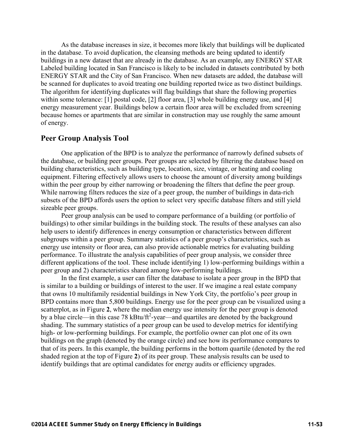As the database increases in size, it becomes more likely that buildings will be duplicated in the database. To avoid duplication, the cleansing methods are being updated to identify buildings in a new dataset that are already in the database. As an example, any ENERGY STAR Labeled building located in San Francisco is likely to be included in datasets contributed by both ENERGY STAR and the City of San Francisco. When new datasets are added, the database will be scanned for duplicates to avoid treating one building reported twice as two distinct buildings. The algorithm for identifying duplicates will flag buildings that share the following properties within some tolerance: [1] postal code, [2] floor area, [3] whole building energy use, and [4] energy measurement year. Buildings below a certain floor area will be excluded from screening because homes or apartments that are similar in construction may use roughly the same amount of energy.

# **Peer Group Analysis Tool**

One application of the BPD is to analyze the performance of narrowly defined subsets of the database, or building peer groups. Peer groups are selected by filtering the database based on building characteristics, such as building type, location, size, vintage, or heating and cooling equipment. Filtering effectively allows users to choose the amount of diversity among buildings within the peer group by either narrowing or broadening the filters that define the peer group. While narrowing filters reduces the size of a peer group, the number of buildings in data-rich subsets of the BPD affords users the option to select very specific database filters and still yield sizeable peer groups.

Peer group analysis can be used to compare performance of a building (or portfolio of buildings) to other similar buildings in the building stock. The results of these analyses can also help users to identify differences in energy consumption or characteristics between different subgroups within a peer group. Summary statistics of a peer group's characteristics, such as energy use intensity or floor area, can also provide actionable metrics for evaluating building performance. To illustrate the analysis capabilities of peer group analysis, we consider three different applications of the tool. These include identifying 1) low-performing buildings within a peer group and 2) characteristics shared among low-performing buildings.

In the first example, a user can filter the database to isolate a peer group in the BPD that is similar to a building or buildings of interest to the user. If we imagine a real estate company that owns 10 multifamily residential buildings in New York City, the portfolio's peer group in BPD contains more than 5,800 buildings. Energy use for the peer group can be visualized using a scatterplot, as in Figure **2**, where the median energy use intensity for the peer group is denoted by a blue circle—in this case 78 kBtu/ $\text{ft}^2$ -year—and quartiles are denoted by the background shading. The summary statistics of a peer group can be used to develop metrics for identifying high- or low-performing buildings. For example, the portfolio owner can plot one of its own buildings on the graph (denoted by the orange circle) and see how its performance compares to that of its peers. In this example, the building performs in the bottom quartile (denoted by the red shaded region at the top of Figure **2**) of its peer group. These analysis results can be used to identify buildings that are optimal candidates for energy audits or efficiency upgrades.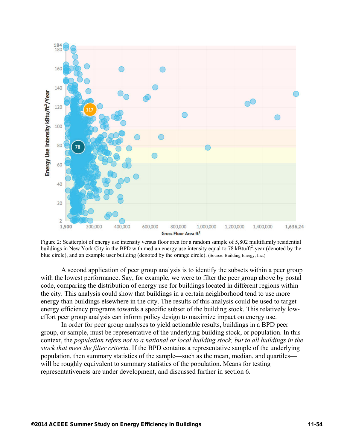

Figure 2: Scatterplot of energy use intensity versus floor area for a random sample of 5,802 multifamily residential buildings in New York City in the BPD with median energy use intensity equal to 78 kBtu/ft<sup>2</sup>-year (denoted by the blue circle), and an example user building (denoted by the orange circle). (Source: Building Energy, Inc.)

A second application of peer group analysis is to identify the subsets within a peer group with the lowest performance. Say, for example, we were to filter the peer group above by postal code, comparing the distribution of energy use for buildings located in different regions within the city. This analysis could show that buildings in a certain neighborhood tend to use more energy than buildings elsewhere in the city. The results of this analysis could be used to target energy efficiency programs towards a specific subset of the building stock. This relatively loweffort peer group analysis can inform policy design to maximize impact on energy use.

In order for peer group analyses to yield actionable results, buildings in a BPD peer group, or sample, must be representative of the underlying building stock, or population. In this context, the *population refers not to a national or local building stock, but to all buildings in the stock that meet the filter criteria.* If the BPD contains a representative sample of the underlying population, then summary statistics of the sample—such as the mean, median, and quartiles will be roughly equivalent to summary statistics of the population. Means for testing representativeness are under development, and discussed further in section 6.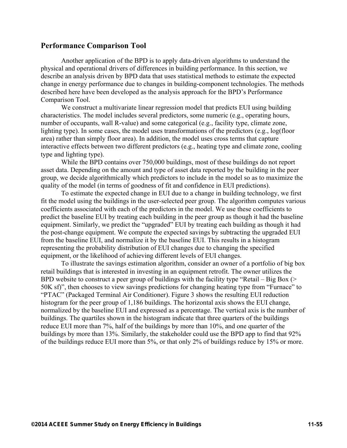# **Performance Comparison Tool**

Another application of the BPD is to apply data-driven algorithms to understand the physical and operational drivers of differences in building performance. In this section, we describe an analysis driven by BPD data that uses statistical methods to estimate the expected change in energy performance due to changes in building-component technologies. The methods described here have been developed as the analysis approach for the BPD's Performance Comparison Tool.

We construct a multivariate linear regression model that predicts EUI using building characteristics. The model includes several predictors, some numeric (e.g., operating hours, number of occupants, wall R-value) and some categorical (e.g., facility type, climate zone, lighting type). In some cases, the model uses transformations of the predictors (e.g., log(floor area) rather than simply floor area). In addition, the model uses cross terms that capture interactive effects between two different predictors (e.g., heating type and climate zone, cooling type and lighting type).

While the BPD contains over 750,000 buildings, most of these buildings do not report asset data. Depending on the amount and type of asset data reported by the building in the peer group, we decide algorithmically which predictors to include in the model so as to maximize the quality of the model (in terms of goodness of fit and confidence in EUI predictions).

To estimate the expected change in EUI due to a change in building technology, we first fit the model using the buildings in the user-selected peer group. The algorithm computes various coefficients associated with each of the predictors in the model. We use these coefficients to predict the baseline EUI by treating each building in the peer group as though it had the baseline equipment. Similarly, we predict the "upgraded" EUI by treating each building as though it had the post-change equipment. We compute the expected savings by subtracting the upgraded EUI from the baseline EUI, and normalize it by the baseline EUI. This results in a histogram representing the probability distribution of EUI changes due to changing the specified equipment, or the likelihood of achieving different levels of EUI changes.

To illustrate the savings estimation algorithm, consider an owner of a portfolio of big box retail buildings that is interested in investing in an equipment retrofit. The owner utilizes the BPD website to construct a peer group of buildings with the facility type "Retail – Big Box (> 50K sf)", then chooses to view savings predictions for changing heating type from "Furnace" to "PTAC" (Packaged Terminal Air Conditioner). Figure 3 shows the resulting EUI reduction histogram for the peer group of 1,186 buildings. The horizontal axis shows the EUI change, normalized by the baseline EUI and expressed as a percentage. The vertical axis is the number of buildings. The quartiles shown in the histogram indicate that three quarters of the buildings reduce EUI more than 7%, half of the buildings by more than 10%, and one quarter of the buildings by more than 13%. Similarly, the stakeholder could use the BPD app to find that 92% of the buildings reduce EUI more than 5%, or that only 2% of buildings reduce by 15% or more.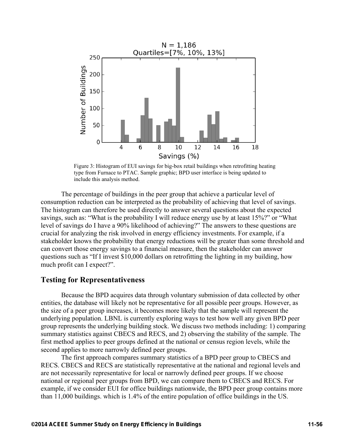

Figure 3: Histogram of EUI savings for big-box retail buildings when retrofitting heating type from Furnace to PTAC. Sample graphic; BPD user interface is being updated to include this analysis method.

The percentage of buildings in the peer group that achieve a particular level of consumption reduction can be interpreted as the probability of achieving that level of savings. The histogram can therefore be used directly to answer several questions about the expected savings, such as: "What is the probability I will reduce energy use by at least 15%?" or "What level of savings do I have a 90% likelihood of achieving?" The answers to these questions are crucial for analyzing the risk involved in energy efficiency investments. For example, if a stakeholder knows the probability that energy reductions will be greater than some threshold and can convert those energy savings to a financial measure, then the stakeholder can answer questions such as "If I invest \$10,000 dollars on retrofitting the lighting in my building, how much profit can I expect?".

### **Testing for Representativeness**

Because the BPD acquires data through voluntary submission of data collected by other entities, the database will likely not be representative for all possible peer groups. However, as the size of a peer group increases, it becomes more likely that the sample will represent the underlying population. LBNL is currently exploring ways to test how well any given BPD peer group represents the underlying building stock. We discuss two methods including: 1) comparing summary statistics against CBECS and RECS, and 2) observing the stability of the sample. The first method applies to peer groups defined at the national or census region levels, while the second applies to more narrowly defined peer groups.

The first approach compares summary statistics of a BPD peer group to CBECS and RECS. CBECS and RECS are statistically representative at the national and regional levels and are not necessarily representative for local or narrowly defined peer groups. If we choose national or regional peer groups from BPD, we can compare them to CBECS and RECS. For example, if we consider EUI for office buildings nationwide, the BPD peer group contains more than 11,000 buildings. which is 1.4% of the entire population of office buildings in the US.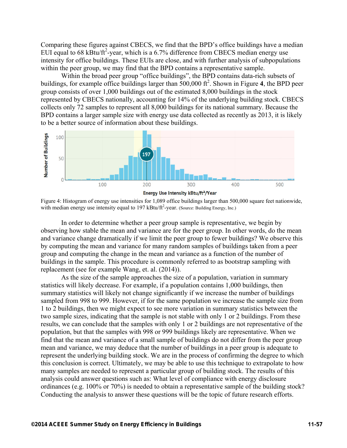Comparing these figures against CBECS, we find that the BPD's office buildings have a median EUI equal to 68 kBtu/ft<sup>2</sup>-year, which is a 6.7% difference from CBECS median energy use intensity for office buildings. These EUIs are close, and with further analysis of subpopulations within the peer group, we may find that the BPD contains a representative sample.

Within the broad peer group "office buildings", the BPD contains data-rich subsets of buildings, for example office buildings larger than 500,000 ft<sup>2</sup>. Shown in Figure 4, the BPD peer group consists of over 1,000 buildings out of the estimated 8,000 buildings in the stock represented by CBECS nationally, accounting for 14% of the underlying building stock. CBECS collects only 72 samples to represent all 8,000 buildings for its national summary. Because the BPD contains a larger sample size with energy use data collected as recently as 2013, it is likely to be a better source of information about these buildings.



Figure 4: Histogram of energy use intensities for 1,089 office buildings larger than 500,000 square feet nationwide, with median energy use intensity equal to 197 kBtu/ft<sup>2</sup>-year. (Source: Building Energy, Inc.)

In order to determine whether a peer group sample is representative, we begin by observing how stable the mean and variance are for the peer group. In other words, do the mean and variance change dramatically if we limit the peer group to fewer buildings? We observe this by computing the mean and variance for many random samples of buildings taken from a peer group and computing the change in the mean and variance as a function of the number of buildings in the sample. This procedure is commonly referred to as bootstrap sampling with replacement (see for example Wang, et. al. (2014)).

As the size of the sample approaches the size of a population, variation in summary statistics will likely decrease. For example, if a population contains 1,000 buildings, then summary statistics will likely not change significantly if we increase the number of buildings sampled from 998 to 999. However, if for the same population we increase the sample size from 1 to 2 buildings, then we might expect to see more variation in summary statistics between the two sample sizes, indicating that the sample is not stable with only 1 or 2 buildings. From these results, we can conclude that the samples with only 1 or 2 buildings are not representative of the population, but that the samples with 998 or 999 buildings likely are representative. When we find that the mean and variance of a small sample of buildings do not differ from the peer group mean and variance, we may deduce that the number of buildings in a peer group is adequate to represent the underlying building stock. We are in the process of confirming the degree to which this conclusion is correct. Ultimately, we may be able to use this technique to extrapolate to how many samples are needed to represent a particular group of building stock. The results of this analysis could answer questions such as: What level of compliance with energy disclosure ordinances (e.g. 100% or 70%) is needed to obtain a representative sample of the building stock? Conducting the analysis to answer these questions will be the topic of future research efforts.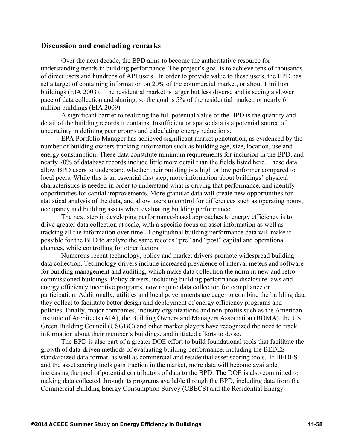## **Discussion and concluding remarks**

Over the next decade, the BPD aims to become the authoritative resource for understanding trends in building performance. The project's goal is to achieve tens of thousands of direct users and hundreds of API users. In order to provide value to these users, the BPD has set a target of containing information on 20% of the commercial market, or about 1 million buildings (EIA 2003). The residential market is larger but less diverse and is seeing a slower pace of data collection and sharing, so the goal is 5% of the residential market, or nearly 6 million buildings (EIA 2009).

A significant barrier to realizing the full potential value of the BPD is the quantity and detail of the building records it contains. Insufficient or sparse data is a potential source of uncertainty in defining peer groups and calculating energy reductions.

EPA Portfolio Manager has achieved significant market penetration, as evidenced by the number of building owners tracking information such as building age, size, location, use and energy consumption. These data constitute minimum requirements for inclusion in the BPD, and nearly 70% of database records include little more detail than the fields listed here. These data allow BPD users to understand whether their building is a high or low performer compared to local peers. While this is an essential first step, more information about buildings' physical characteristics is needed in order to understand what is driving that performance, and identify opportunities for capital improvements. More granular data will create new opportunities for statistical analysis of the data, and allow users to control for differences such as operating hours, occupancy and building assets when evaluating building performance.

The next step in developing performance-based approaches to energy efficiency is to drive greater data collection at scale, with a specific focus on asset information as well as tracking all the information over time. Longitudinal building performance data will make it possible for the BPD to analyze the same records "pre" and "post" capital and operational changes, while controlling for other factors.

Numerous recent technology, policy and market drivers promote widespread building data collection. Technology drivers include increased prevalence of interval meters and software for building management and auditing, which make data collection the norm in new and retro commissioned buildings. Policy drivers, including building performance disclosure laws and energy efficiency incentive programs, now require data collection for compliance or participation. Additionally, utilities and local governments are eager to combine the building data they collect to facilitate better design and deployment of energy efficiency programs and policies. Finally, major companies, industry organizations and non-profits such as the American Institute of Architects (AIA), the Building Owners and Managers Association (BOMA), the US Green Building Council (USGBC) and other market players have recognized the need to track information about their member's buildings, and initiated efforts to do so.

The BPD is also part of a greater DOE effort to build foundational tools that facilitate the growth of data-driven methods of evaluating building performance, including the BEDES standardized data format, as well as commercial and residential asset scoring tools. If BEDES and the asset scoring tools gain traction in the market, more data will become available, increasing the pool of potential contributors of data to the BPD. The DOE is also committed to making data collected through its programs available through the BPD, including data from the Commercial Building Energy Consumption Survey (CBECS) and the Residential Energy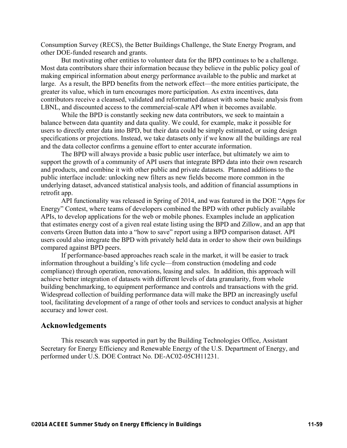Consumption Survey (RECS), the Better Buildings Challenge, the State Energy Program, and other DOE-funded research and grants.

But motivating other entities to volunteer data for the BPD continues to be a challenge. Most data contributors share their information because they believe in the public policy goal of making empirical information about energy performance available to the public and market at large. As a result, the BPD benefits from the network effect—the more entities participate, the greater its value, which in turn encourages more participation. As extra incentives, data contributors receive a cleansed, validated and reformatted dataset with some basic analysis from LBNL, and discounted access to the commercial-scale API when it becomes available.

While the BPD is constantly seeking new data contributors, we seek to maintain a balance between data quantity and data quality. We could, for example, make it possible for users to directly enter data into BPD, but their data could be simply estimated, or using design specifications or projections. Instead, we take datasets only if we know all the buildings are real and the data collector confirms a genuine effort to enter accurate information.

The BPD will always provide a basic public user interface, but ultimately we aim to support the growth of a community of API users that integrate BPD data into their own research and products, and combine it with other public and private datasets. Planned additions to the public interface include: unlocking new filters as new fields become more common in the underlying dataset, advanced statistical analysis tools, and addition of financial assumptions in retrofit app.

API functionality was released in Spring of 2014, and was featured in the DOE "Apps for Energy" Contest, where teams of developers combined the BPD with other publicly available APIs, to develop applications for the web or mobile phones. Examples include an application that estimates energy cost of a given real estate listing using the BPD and Zillow, and an app that converts Green Button data into a "how to save" report using a BPD comparison dataset. API users could also integrate the BPD with privately held data in order to show their own buildings compared against BPD peers.

If performance-based approaches reach scale in the market, it will be easier to track information throughout a building's life cycle—from construction (modeling and code compliance) through operation, renovations, leasing and sales. In addition, this approach will achieve better integration of datasets with different levels of data granularity, from whole building benchmarking, to equipment performance and controls and transactions with the grid. Widespread collection of building performance data will make the BPD an increasingly useful tool, facilitating development of a range of other tools and services to conduct analysis at higher accuracy and lower cost.

## **Acknowledgements**

This research was supported in part by the Building Technologies Office, Assistant Secretary for Energy Efficiency and Renewable Energy of the U.S. Department of Energy, and performed under U.S. DOE Contract No. DE-AC02-05CH11231.